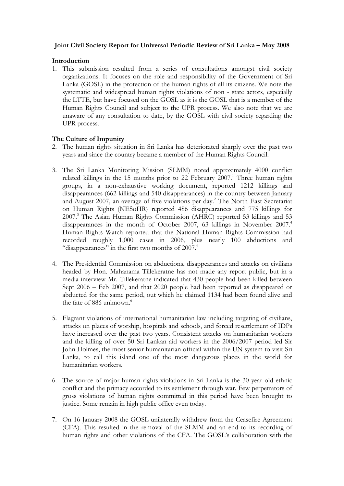## **Joint Civil Society Report for Universal Periodic Review of Sri Lanka – May 2008**

## **Introduction**

1. This submission resulted from a series of consultations amongst civil society organizations. It focuses on the role and responsibility of the Government of Sri Lanka (GOSL) in the protection of the human rights of all its citizens. We note the systematic and widespread human rights violations of non - state actors, especially the LTTE, but have focused on the GOSL as it is the GOSL that is a member of the Human Rights Council and subject to the UPR process. We also note that we are unaware of any consultation to date, by the GOSL with civil society regarding the UPR process.

# **The Culture of Impunity**

- 2. The human rights situation in Sri Lanka has deteriorated sharply over the past two years and since the country became a member of the Human Rights Council.
- 3. The Sri Lanka Monitoring Mission (SLMM) noted approximately 4000 conflict related killings in the 15 months prior to 22 February  $2007$ .<sup>1</sup> Three human rights groups, in a non-exhaustive working document, reported 1212 killings and disappearances (662 killings and 540 disappearances) in the country between January and August 2007, an average of five violations per day.<sup>2</sup> The North East Secretariat on Human Rights (NESoHR) reported 486 disappearances and 775 killings for 2007.3 The Asian Human Rights Commission (AHRC) reported 53 killings and 53 disappearances in the month of October 2007, 63 killings in November 2007.<sup>4</sup> Human Rights Watch reported that the National Human Rights Commission had recorded roughly 1,000 cases in 2006, plus nearly 100 abductions and "disappearances" in the first two months of  $2007$ .<sup>5</sup>
- 4. The Presidential Commission on abductions, disappearances and attacks on civilians headed by Hon. Mahanama Tillekeratne has not made any report public, but in a media interview Mr. Tillekeratne indicated that 430 people had been killed between Sept 2006 – Feb 2007, and that 2020 people had been reported as disappeared or abducted for the same period, out which he claimed 1134 had been found alive and the fate of 886 unknown.<sup>6</sup>
- 5. Flagrant violations of international humanitarian law including targeting of civilians, attacks on places of worship, hospitals and schools, and forced resettlement of IDPs have increased over the past two years. Consistent attacks on humanitarian workers and the killing of over 50 Sri Lankan aid workers in the 2006/2007 period led Sir John Holmes, the most senior humanitarian official within the UN system to visit Sri Lanka, to call this island one of the most dangerous places in the world for humanitarian workers.
- 6. The source of major human rights violations in Sri Lanka is the 30 year old ethnic conflict and the primacy accorded to its settlement through war. Few perpetrators of gross violations of human rights committed in this period have been brought to justice. Some remain in high public office even today.
- 7. On 16 January 2008 the GOSL unilaterally withdrew from the Ceasefire Agreement (CFA). This resulted in the removal of the SLMM and an end to its recording of human rights and other violations of the CFA. The GOSL's collaboration with the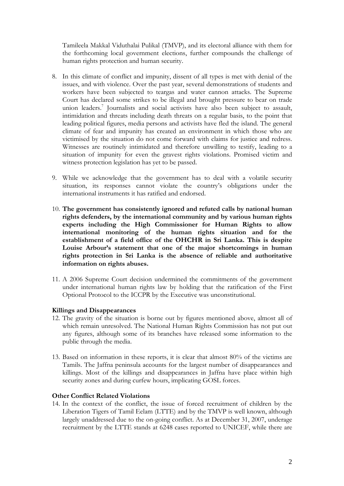Tamileela Makkal Viduthalai Pulikal (TMVP), and its electoral alliance with them for the forthcoming local government elections, further compounds the challenge of human rights protection and human security.

- 8. In this climate of conflict and impunity, dissent of all types is met with denial of the issues, and with violence. Over the past year, several demonstrations of students and workers have been subjected to teargas and water cannon attacks. The Supreme Court has declared some strikes to be illegal and brought pressure to bear on trade union leaders.<sup>7</sup> Journalists and social activists have also been subject to assault, intimidation and threats including death threats on a regular basis, to the point that leading political figures, media persons and activists have fled the island. The general climate of fear and impunity has created an environment in which those who are victimised by the situation do not come forward with claims for justice and redress. Witnesses are routinely intimidated and therefore unwilling to testify, leading to a situation of impunity for even the gravest rights violations. Promised victim and witness protection legislation has yet to be passed.
- 9. While we acknowledge that the government has to deal with a volatile security situation, its responses cannot violate the country's obligations under the international instruments it has ratified and endorsed.
- 10. **The government has consistently ignored and refuted calls by national human rights defenders, by the international community and by various human rights experts including the High Commissioner for Human Rights to allow international monitoring of the human rights situation and for the establishment of a field office of the OHCHR in Sri Lanka. This is despite Louise Arbour's statement that one of the major shortcomings in human rights protection in Sri Lanka is the absence of reliable and authoritative information on rights abuses.**
- 11. A 2006 Supreme Court decision undermined the commitments of the government under international human rights law by holding that the ratification of the First Optional Protocol to the ICCPR by the Executive was unconstitutional.

## **Killings and Disappearances**

- 12. The gravity of the situation is borne out by figures mentioned above, almost all of which remain unresolved. The National Human Rights Commission has not put out any figures, although some of its branches have released some information to the public through the media.
- 13. Based on information in these reports, it is clear that almost 80% of the victims are Tamils. The Jaffna peninsula accounts for the largest number of disappearances and killings. Most of the killings and disappearances in Jaffna have place within high security zones and during curfew hours, implicating GOSL forces.

### **Other Conflict Related Violations**

14. In the context of the conflict, the issue of forced recruitment of children by the Liberation Tigers of Tamil Eelam (LTTE) and by the TMVP is well known, although largely unaddressed due to the on-going conflict. As at December 31, 2007, underage recruitment by the LTTE stands at 6248 cases reported to UNICEF, while there are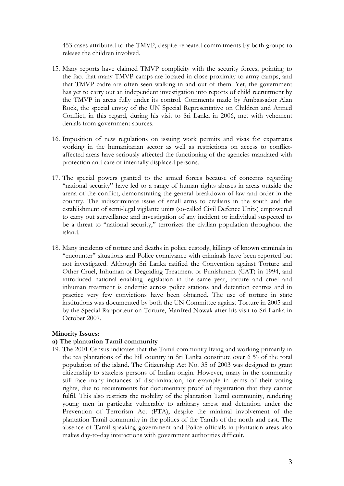453 cases attributed to the TMVP, despite repeated commitments by both groups to release the children involved.

- 15. Many reports have claimed TMVP complicity with the security forces, pointing to the fact that many TMVP camps are located in close proximity to army camps, and that TMVP cadre are often seen walking in and out of them. Yet, the government has yet to carry out an independent investigation into reports of child recruitment by the TMVP in areas fully under its control. Comments made by Ambassador Alan Rock, the special envoy of the UN Special Representative on Children and Armed Conflict, in this regard, during his visit to Sri Lanka in 2006, met with vehement denials from government sources.
- 16. Imposition of new regulations on issuing work permits and visas for expatriates working in the humanitarian sector as well as restrictions on access to conflictaffected areas have seriously affected the functioning of the agencies mandated with protection and care of internally displaced persons.
- 17. The special powers granted to the armed forces because of concerns regarding "national security" have led to a range of human rights abuses in areas outside the arena of the conflict, demonstrating the general breakdown of law and order in the country. The indiscriminate issue of small arms to civilians in the south and the establishment of semi-legal vigilante units (so-called Civil Defence Units) empowered to carry out surveillance and investigation of any incident or individual suspected to be a threat to "national security," terrorizes the civilian population throughout the island.
- 18. Many incidents of torture and deaths in police custody, killings of known criminals in "encounter" situations and Police connivance with criminals have been reported but not investigated. Although Sri Lanka ratified the Convention against Torture and Other Cruel, Inhuman or Degrading Treatment or Punishment (CAT) in 1994, and introduced national enabling legislation in the same year, torture and cruel and inhuman treatment is endemic across police stations and detention centres and in practice very few convictions have been obtained. The use of torture in state institutions was documented by both the UN Committee against Torture in 2005 and by the Special Rapporteur on Torture, Manfred Nowak after his visit to Sri Lanka in October 2007.

### **Minority Issues:**

### **a) The plantation Tamil community**

19. The 2001 Census indicates that the Tamil community living and working primarily in the tea plantations of the hill country in Sri Lanka constitute over 6 % of the total population of the island. The Citizenship Act No. 35 of 2003 was designed to grant citizenship to stateless persons of Indian origin. However, many in the community still face many instances of discrimination, for example in terms of their voting rights, due to requirements for documentary proof of registration that they cannot fulfil. This also restricts the mobility of the plantation Tamil community, rendering young men in particular vulnerable to arbitrary arrest and detention under the Prevention of Terrorism Act (PTA), despite the minimal involvement of the plantation Tamil community in the politics of the Tamils of the north and east. The absence of Tamil speaking government and Police officials in plantation areas also makes day-to-day interactions with government authorities difficult.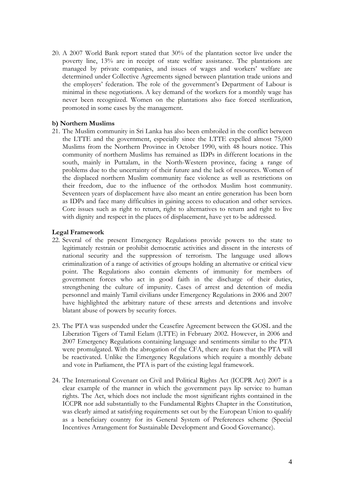20. A 2007 World Bank report stated that 30% of the plantation sector live under the poverty line, 13% are in receipt of state welfare assistance. The plantations are managed by private companies, and issues of wages and workers' welfare are determined under Collective Agreements signed between plantation trade unions and the employers' federation. The role of the government's Department of Labour is minimal in these negotiations. A key demand of the workers for a monthly wage has never been recognized. Women on the plantations also face forced sterilization, promoted in some cases by the management.

### **b) Northern Muslims**

21. The Muslim community in Sri Lanka has also been embroiled in the conflict between the LTTE and the government, especially since the LTTE expelled almost 75,000 Muslims from the Northern Province in October 1990, with 48 hours notice. This community of northern Muslims has remained as IDPs in different locations in the south, mainly in Puttalam, in the North-Western province, facing a range of problems due to the uncertainty of their future and the lack of resources. Women of the displaced northern Muslim community face violence as well as restrictions on their freedom, due to the influence of the orthodox Muslim host community. Seventeen years of displacement have also meant an entire generation has been born as IDPs and face many difficulties in gaining access to education and other services. Core issues such as right to return, right to alternatives to return and right to live with dignity and respect in the places of displacement, have yet to be addressed.

### **Legal Framework**

- 22. Several of the present Emergency Regulations provide powers to the state to legitimately restrain or prohibit democratic activities and dissent in the interests of national security and the suppression of terrorism. The language used allows criminalization of a range of activities of groups holding an alternative or critical view point. The Regulations also contain elements of immunity for members of government forces who act in good faith in the discharge of their duties, strengthening the culture of impunity. Cases of arrest and detention of media personnel and mainly Tamil civilians under Emergency Regulations in 2006 and 2007 have highlighted the arbitrary nature of these arrests and detentions and involve blatant abuse of powers by security forces.
- 23. The PTA was suspended under the Ceasefire Agreement between the GOSL and the Liberation Tigers of Tamil Eelam (LTTE) in February 2002. However, in 2006 and 2007 Emergency Regulations containing language and sentiments similar to the PTA were promulgated. With the abrogation of the CFA, there are fears that the PTA will be reactivated. Unlike the Emergency Regulations which require a monthly debate and vote in Parliament, the PTA is part of the existing legal framework.
- 24. The International Covenant on Civil and Political Rights Act (ICCPR Act) 2007 is a clear example of the manner in which the government pays lip service to human rights. The Act, which does not include the most significant rights contained in the ICCPR nor add substantially to the Fundamental Rights Chapter in the Constitution, was clearly aimed at satisfying requirements set out by the European Union to qualify as a beneficiary country for its General System of Preferences scheme (Special Incentives Arrangement for Sustainable Development and Good Governance).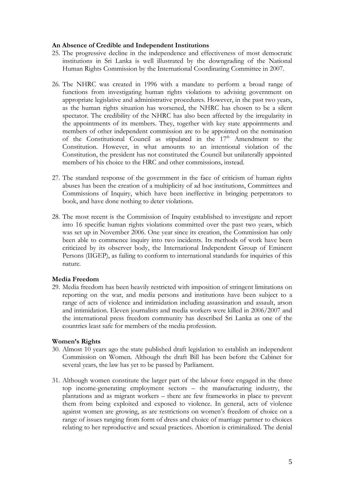### **An Absence of Credible and Independent Institutions**

- 25. The progressive decline in the independence and effectiveness of most democratic institutions in Sri Lanka is well illustrated by the downgrading of the National Human Rights Commission by the International Coordinating Committee in 2007.
- 26. The NHRC was created in 1996 with a mandate to perform a broad range of functions from investigating human rights violations to advising government on appropriate legislative and administrative procedures. However, in the past two years, as the human rights situation has worsened, the NHRC has chosen to be a silent spectator. The credibility of the NHRC has also been affected by the irregularity in the appointments of its members. They, together with key state appointments and members of other independent commission are to be appointed on the nomination of the Constitutional Council as stipulated in the  $17<sup>th</sup>$  Amendment to the Constitution. However, in what amounts to an intentional violation of the Constitution, the president has not constituted the Council but unilaterally appointed members of his choice to the HRC and other commissions, instead.
- 27. The standard response of the government in the face of criticism of human rights abuses has been the creation of a multiplicity of ad hoc institutions, Committees and Commissions of Inquiry, which have been ineffective in bringing perpetrators to book, and have done nothing to deter violations.
- 28. The most recent is the Commission of Inquiry established to investigate and report into 16 specific human rights violations committed over the past two years, which was set up in November 2006. One year since its creation, the Commission has only been able to commence inquiry into two incidents. Its methods of work have been criticized by its observer body, the International Independent Group of Eminent Persons (IIGEP), as failing to conform to international standards for inquiries of this nature.

## **Media Freedom**

29. Media freedom has been heavily restricted with imposition of stringent limitations on reporting on the war, and media persons and institutions have been subject to a range of acts of violence and intimidation including assassination and assault, arson and intimidation. Eleven journalists and media workers were killed in 2006/2007 and the international press freedom community has described Sri Lanka as one of the countries least safe for members of the media profession.

## **Women's Rights**

- 30. Almost 10 years ago the state published draft legislation to establish an independent Commission on Women. Although the draft Bill has been before the Cabinet for several years, the law has yet to be passed by Parliament.
- 31. Although women constitute the larger part of the labour force engaged in the three top income-generating employment sectors – the manufacturing industry, the plantations and as migrant workers – there are few frameworks in place to prevent them from being exploited and exposed to violence. In general, acts of violence against women are growing, as are restrictions on women's freedom of choice on a range of issues ranging from form of dress and choice of marriage partner to choices relating to her reproductive and sexual practices. Abortion is criminalized. The denial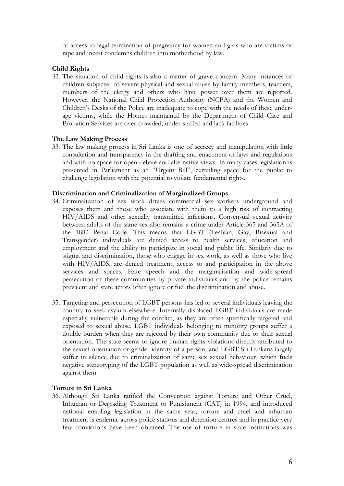of access to legal termination of pregnancy for women and girls who are victims of rape and incest condemns children into motherhood by law.

## **Child Rights**

32. The situation of child rights is also a matter of grave concern. Many instances of children subjected to severe physical and sexual abuse by family members, teachers, members of the clergy and others who have power over them are reported. However, the National Child Protection Authority (NCPA) and the Women and Children's Desks of the Police are inadequate to cope with the needs of these underage victims, while the Homes maintained by the Department of Child Care and Probation Services are over-crowded, under-staffed and lack facilities.

### **The Law Making Process**

33. The law making process in Sri Lanka is one of secrecy and manipulation with little consultation and transparency in the drafting and enactment of laws and regulations and with no space for open debate and alternative views. In many cases legislation is presented in Parliament as an "Urgent Bill", curtailing space for the public to challenge legislation with the potential to violate fundamental rights.

### **Discrimination and Criminalization of Marginalized Groups**

- 34. Criminalization of sex work drives commercial sex workers underground and exposes them and those who associate with them to a high risk of contracting HIV/AIDS and other sexually transmitted infections. Consensual sexual activity between adults of the same sex also remains a crime under Article 365 and 365A of the 1883 Penal Code. This means that LGBT (Lesbian, Gay, Bisexual and Transgender) individuals are denied access to health services, education and employment and the ability to participate in social and public life. Similarly due to stigma and discrimination, those who engage in sex work, as well as those who live with HIV/AIDS, are denied treatment, access to and participation in the above services and spaces. Hate speech and the marginalisation and wide-spread persecution of these communities by private individuals and by the police remains prevalent and state actors often ignore or fuel the discrimination and abuse.
- 35. Targeting and persecution of LGBT persons has led to several individuals leaving the country to seek asylum elsewhere. Internally displaced LGBT individuals are made especially vulnerable during the conflict, as they are often specifically targeted and exposed to sexual abuse. LGBT individuals belonging to minority groups suffer a double burden when they are rejected by their own community due to their sexual orientation. The state seems to ignore human rights violations directly attributed to the sexual orientation or gender identity of a person, and LGBT Sri Lankans largely suffer in silence due to criminalization of same sex sexual behaviour, which fuels negative stereotyping of the LGBT population as well as wide-spread discrimination against them.

## **Torture in Sri Lanka**

36. Although Sri Lanka ratified the Convention against Torture and Other Cruel, Inhuman or Degrading Treatment or Punishment (CAT) in 1994, and introduced national enabling legislation in the same year, torture and cruel and inhuman treatment is endemic across police stations and detention centres and in practice very few convictions have been obtained. The use of torture in state institutions was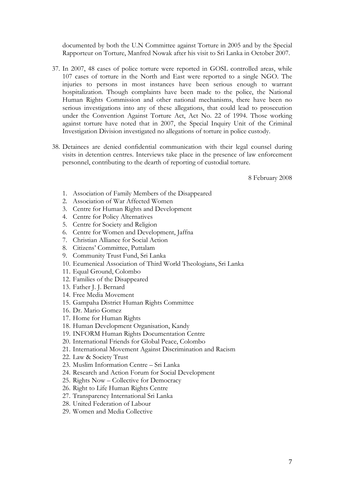documented by both the U.N Committee against Torture in 2005 and by the Special Rapporteur on Torture, Manfred Nowak after his visit to Sri Lanka in October 2007.

- 37. In 2007, 48 cases of police torture were reported in GOSL controlled areas, while 107 cases of torture in the North and East were reported to a single NGO. The injuries to persons in most instances have been serious enough to warrant hospitalization. Though complaints have been made to the police, the National Human Rights Commission and other national mechanisms, there have been no serious investigations into any of these allegations, that could lead to prosecution under the Convention Against Torture Act, Act No. 22 of 1994. Those working against torture have noted that in 2007, the Special Inquiry Unit of the Criminal Investigation Division investigated no allegations of torture in police custody.
- 38. Detainees are denied confidential communication with their legal counsel during visits in detention centres. Interviews take place in the presence of law enforcement personnel, contributing to the dearth of reporting of custodial torture.

8 February 2008

- 1. Association of Family Members of the Disappeared
- 2. Association of War Affected Women
- 3. Centre for Human Rights and Development
- 4. Centre for Policy Alternatives
- 5. Centre for Society and Religion
- 6. Centre for Women and Development, Jaffna
- 7. Christian Alliance for Social Action
- 8. Citizens' Committee, Puttalam
- 9. Community Trust Fund, Sri Lanka
- 10. Ecumenical Association of Third World Theologians, Sri Lanka
- 11. Equal Ground, Colombo
- 12. Families of the Disappeared
- 13. Father J. J. Bernard
- 14. Free Media Movement
- 15. Gampaha District Human Rights Committee
- 16. Dr. Mario Gomez
- 17. Home for Human Rights
- 18. Human Development Organisation, Kandy
- 19. INFORM Human Rights Documentation Centre
- 20. International Friends for Global Peace, Colombo
- 21. International Movement Against Discrimination and Racism
- 22. Law & Society Trust
- 23. Muslim Information Centre Sri Lanka
- 24. Research and Action Forum for Social Development
- 25. Rights Now Collective for Democracy
- 26. Right to Life Human Rights Centre
- 27. Transparency International Sri Lanka
- 28. United Federation of Labour
- 29. Women and Media Collective